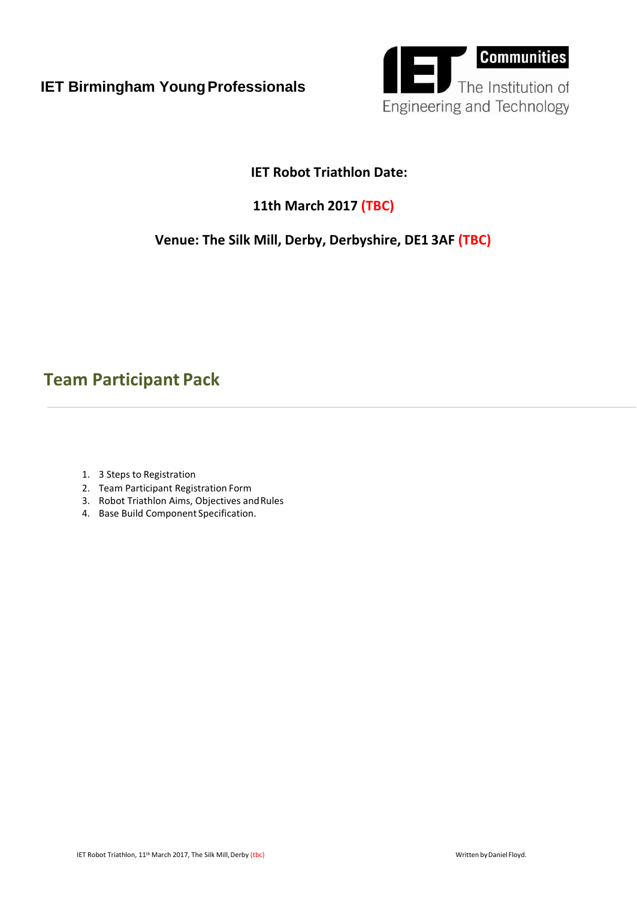

### **IET Robot Triathlon Date:**

## **11th March 2017 (TBC)**

### **Venue: The [Silk Mill,](http://www.theiet.org/events/local/map_227870.cfm#ajax_popup) Derby, Derbyshire, DE1 3AF (TBC)**

# **Team Participant Pack**

- 1. 3 Steps to Registration
- 2. Team Participant Registration Form
- 3. Robot Triathlon Aims, Objectives and Rules
- 4. Base Build Component Specification.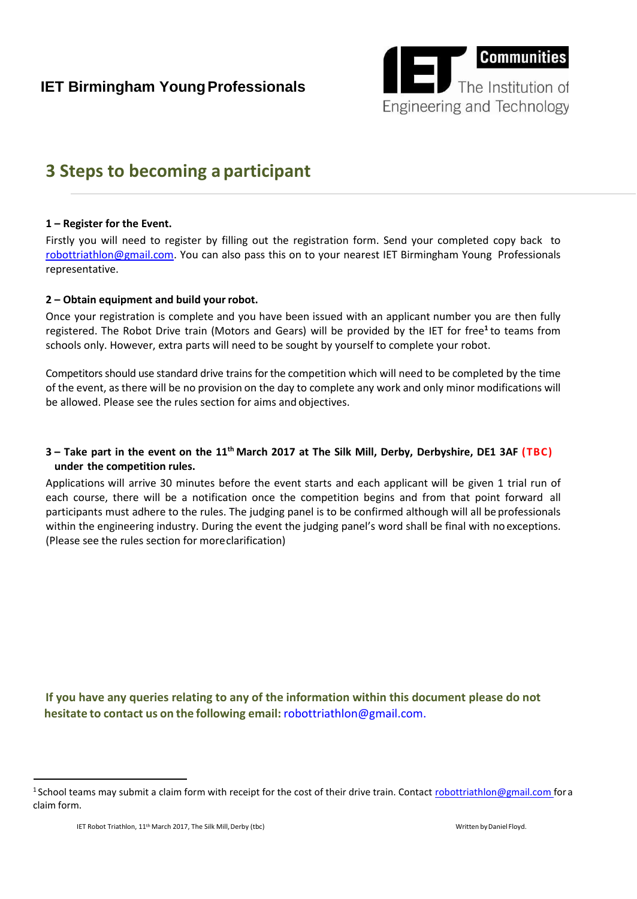

# **3 Steps to becoming a participant**

#### **1 – Register for the Event.**

robottriathlon@gm[ail.co](mailto:robottriathalon@gmail.com)m. You can also pass this on to your nearest IET Birmingham Young Professionals Firstly you will need to register by filling out the registration form. Send your completed copy back to representative.

#### **2 – Obtain equipment and build your robot.**

Once your registration is complete and you have been issued with an applicant number you are then fully registered. The Robot Drive train (Motors and Gears) will be provided by the IET for free<sup>1</sup> to teams from schools only. However, extra parts will need to be sought by yourself to complete your robot.

Competitorsshould use standard drive trains forthe competition which will need to be completed by the time of the event, as there will be no provision on the day to complete any work and only minor modifications will be allowed. Please see the rules section for aims and objectives.

#### 3 – Take part in the event on the 11<sup>th</sup> March 2017 at The Silk [Mill,](http://www.theiet.org/events/local/map_227870.cfm#ajax_popup) Derby, Derbyshire, DE1 3AF (TBC) **under the competition rules.**

Applications will arrive 30 minutes before the event starts and each applicant will be given 1 trial run of each course, there will be a notification once the competition begins and from that point forward all participants must adhere to the rules. The judging panel is to be confirmed although will all be professionals within the engineering industry. During the event the judging panel's word shall be final with no exceptions. (Please see the rules section for moreclarification)

**If you have any queries relating to any of the information within this document please do not hesitate to contact us on the following email:** [robottriathlon@gmail.com.](mailto:robottriathalon@gmail.com)

<sup>&</sup>lt;sup>1</sup> School teams may submit a claim form with receipt for the cost of their drive train. Contact [robottriathlon@gmail.com f](mailto:robottriathlon@gmail.com)or a claim form.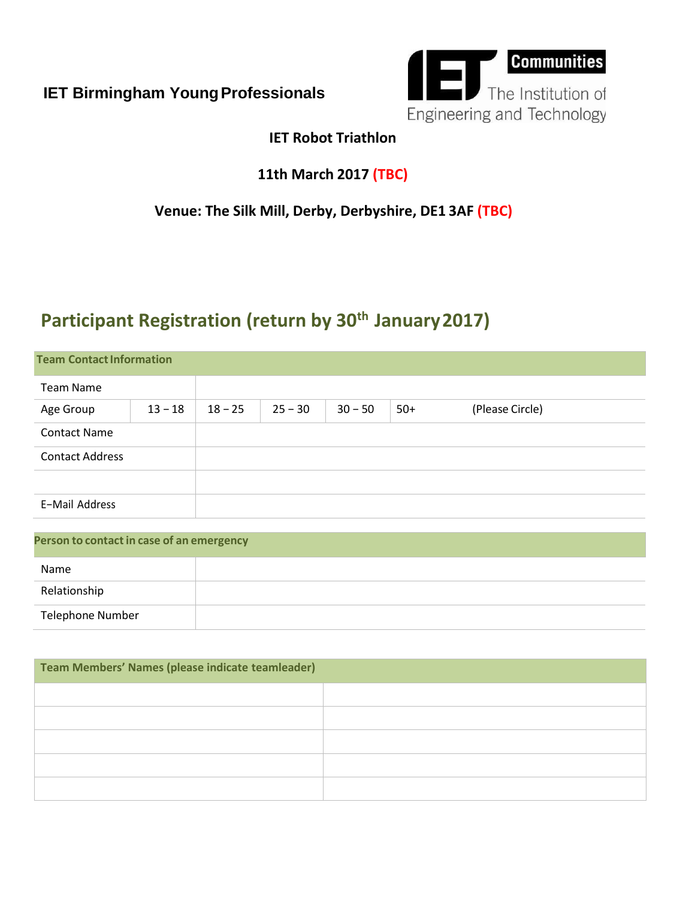

## **IET Robot Triathlon**

## **11th March 2017 (TBC)**

## **Venue: The [Silk Mill,](http://www.theiet.org/events/local/map_227870.cfm#ajax_popup) Derby, Derbyshire, DE1 3AF (TBC)**

# **Participant Registration (return by 30th January2017)**

| <b>Team Contact Information</b> |           |           |           |           |       |                 |  |
|---------------------------------|-----------|-----------|-----------|-----------|-------|-----------------|--|
| <b>Team Name</b>                |           |           |           |           |       |                 |  |
| Age Group                       | $13 - 18$ | $18 - 25$ | $25 - 30$ | $30 - 50$ | $50+$ | (Please Circle) |  |
| <b>Contact Name</b>             |           |           |           |           |       |                 |  |
| <b>Contact Address</b>          |           |           |           |           |       |                 |  |
|                                 |           |           |           |           |       |                 |  |
| E-Mail Address                  |           |           |           |           |       |                 |  |
|                                 |           |           |           |           |       |                 |  |

| Person to contact in case of an emergency |  |  |  |  |
|-------------------------------------------|--|--|--|--|
| Name                                      |  |  |  |  |
| Relationship                              |  |  |  |  |
| <b>Telephone Number</b>                   |  |  |  |  |

| Team Members' Names (please indicate teamleader) |  |  |  |  |  |
|--------------------------------------------------|--|--|--|--|--|
|                                                  |  |  |  |  |  |
|                                                  |  |  |  |  |  |
|                                                  |  |  |  |  |  |
|                                                  |  |  |  |  |  |
|                                                  |  |  |  |  |  |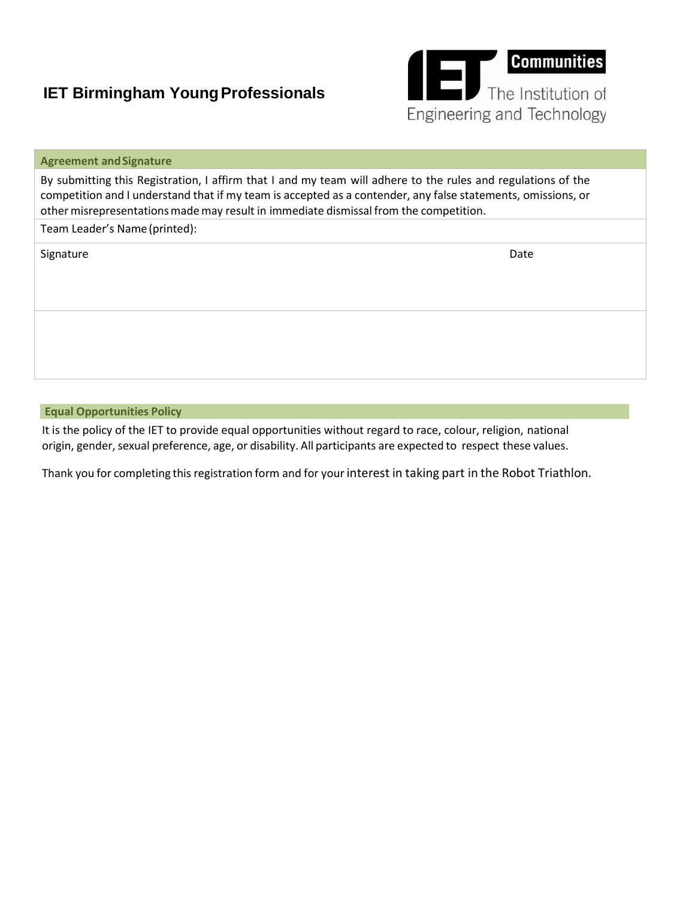

| <b>Agreement and Signature</b>                                                                                                                                                                                                                                                                                        |      |  |  |  |
|-----------------------------------------------------------------------------------------------------------------------------------------------------------------------------------------------------------------------------------------------------------------------------------------------------------------------|------|--|--|--|
| By submitting this Registration, I affirm that I and my team will adhere to the rules and regulations of the<br>competition and I understand that if my team is accepted as a contender, any false statements, omissions, or<br>other misrepresentations made may result in immediate dismissal from the competition. |      |  |  |  |
| Team Leader's Name (printed):                                                                                                                                                                                                                                                                                         |      |  |  |  |
| Signature                                                                                                                                                                                                                                                                                                             | Date |  |  |  |
|                                                                                                                                                                                                                                                                                                                       |      |  |  |  |

**Equal Opportunities Policy**

It is the policy of the IET to provide equal opportunities without regard to race, colour, religion, national origin, gender, sexual preference, age, or disability. All participants are expected to respect these values.

Thank you for completing this registration form and for your interest in taking part in the Robot Triathlon.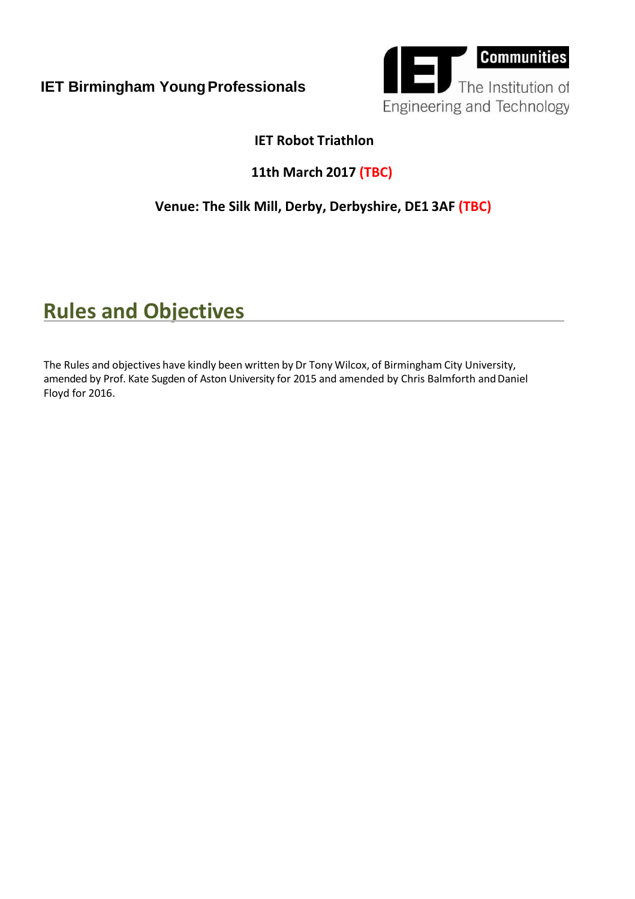

## **IET Robot Triathlon**

## **11th March 2017 (TBC)**

## **Venue: The [Silk Mill,](http://www.theiet.org/events/local/map_227870.cfm#ajax_popup) Derby, Derbyshire, DE1 3AF (TBC)**

# **Rules and Objectives**

The Rules and objectives have kindly been written by Dr Tony Wilcox, of Birmingham City University, amended by Prof. Kate Sugden of Aston University for 2015 and amended by Chris Balmforth and Daniel Floyd for 2016.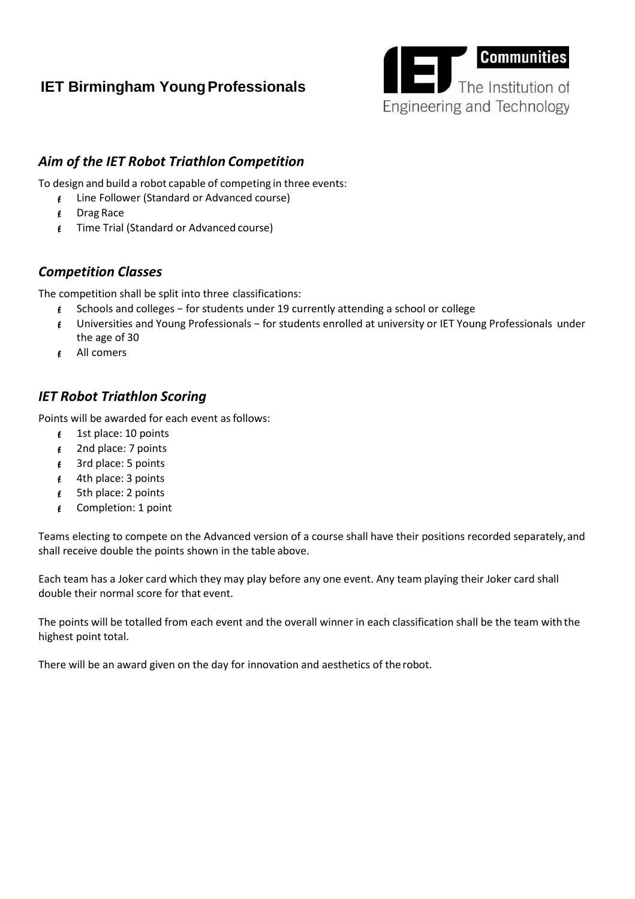

### *Aim of the IET Robot Triathlon Competition*

To design and build a robot capable of competing in three events:

- Line Follower (Standard or Advanced course)
- $\epsilon$  Drag Race
- Time Trial (Standard or Advanced course)

#### *Competition Classes*

The competition shall be split into three classifications:

- Schools and colleges − for students under 19 currently attending a school or college
- Universities and Young Professionals − for students enrolled at university or IET Young Professionals under the age of 30
- All comers

#### *IET Robot Triathlon Scoring*

Points will be awarded for each event as follows:

- $\sharp$  1st place: 10 points
- $\sharp$  2nd place: 7 points
- $\epsilon$  3rd place: 5 points
- $4$ th place: 3 points
- $\sharp$  5th place: 2 points
- Completion: 1 point

Teams electing to compete on the Advanced version of a course shall have their positions recorded separately,and shall receive double the points shown in the table above.

Each team has a Joker card which they may play before any one event. Any team playing their Joker card shall double their normal score for that event.

The points will be totalled from each event and the overall winner in each classification shall be the team with the highest point total.

There will be an award given on the day for innovation and aesthetics of the robot.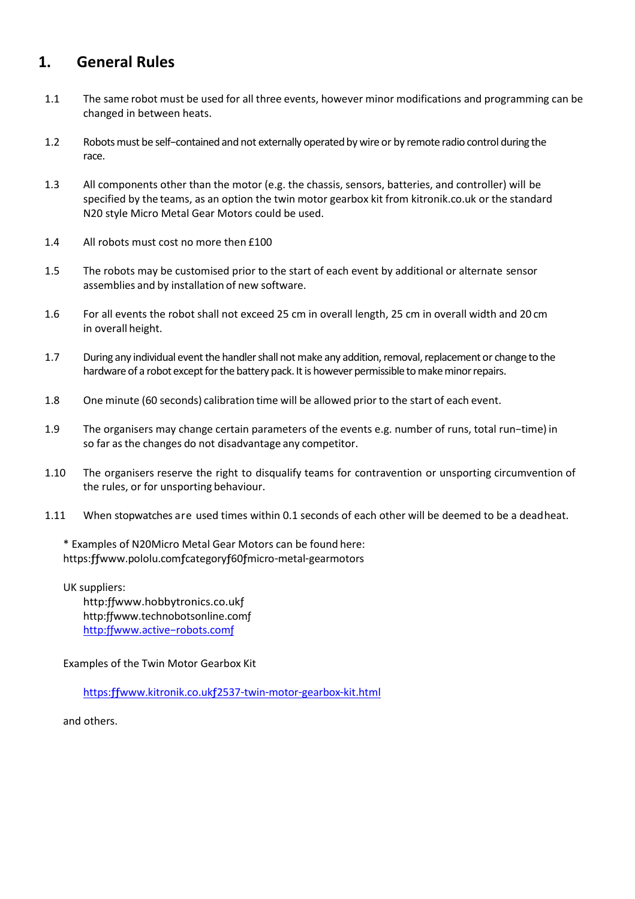## **1. General Rules**

- 1.1 The same robot must be used for all three events, however minor modifications and programming can be changed in between heats.
- 1.2 Robotsmust be self−contained and not externally operatedby wire or by remote radio control during the race.
- 1.3 All components other than the motor (e.g. the chassis, sensors, batteries, and controller) will be specified by the teams, as an option the twin motor gearbox kit from kitronik.co.uk or the standard N20 style Micro Metal Gear Motors could be used.
- 1.4 All robots must cost no more then £100
- 1.5 The robots may be customised prior to the start of each event by additional or alternate sensor assemblies and by installation of new software.
- 1.6 For all events the robot shall not exceed 25 cm in overall length, 25 cm in overall width and 20 cm in overall height.
- 1.7 During any individual event the handler shall not make any addition, removal, replacement or change to the hardware of a robot except for the battery pack. It is however permissible to make minor repairs.
- 1.8 One minute (60 seconds) calibration time will be allowed prior to the start of each event.
- 1.9 The organisers may change certain parameters of the events e.g. number of runs, total run−time) in so far asthe changes do not disadvantage any competitor.
- 1.10 The organisers reserve the right to disqualify teams for contravention or unsporting circumvention of the rules, or for unsporting behaviour.
- 1.11 When stopwatches are used times within 0.1 seconds of each other will be deemed to be a deadheat.

\* Examples of N20Micro Metal Gear Motors can be found here: https:ƒƒ[www.pololu.com](http://www.pololu.comƒcategoryƒ60ƒmicro/)ƒcategoryƒ60ƒmicro−metal−gearmotors

UK suppliers: http:ffwww.hobbytronics.co.ukf http:ƒ[ƒwww.technobotsonline.comƒ](http://www.technobotsonline.comƒ/) http:ffwww.active-robots.comf

Examples of the Twin Motor Gearbox Kit

https:ƒƒ[www.kitronik.co.uk](https://www.kitronik.co.uk/2537-twin-motor-gearbox-kit.html)ƒ2537−twin−motor−gearbox−kit.html

and others.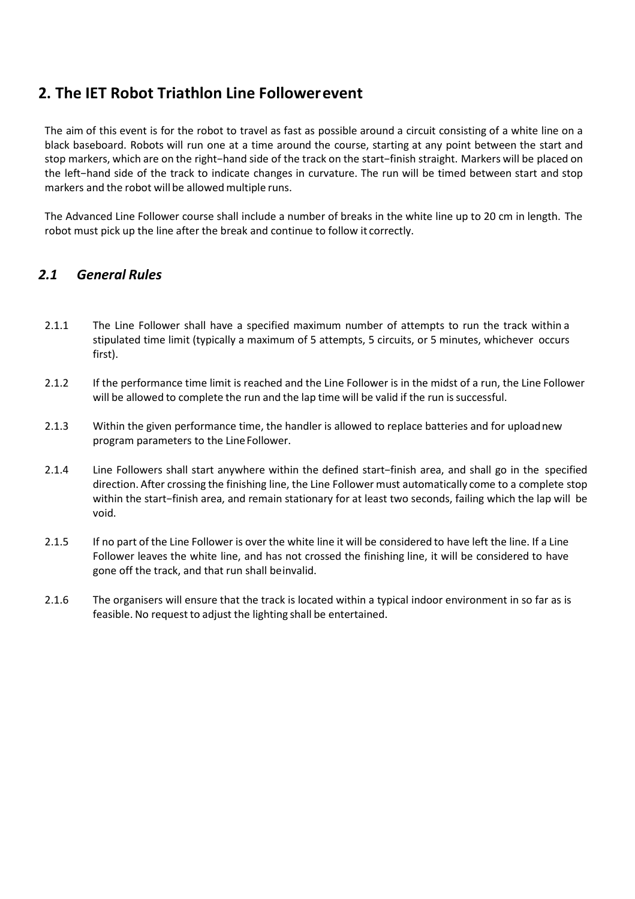## **2. The IET Robot Triathlon Line Followerevent**

The aim of this event is for the robot to travel as fast as possible around a circuit consisting of a white line on a black baseboard. Robots will run one at a time around the course, starting at any point between the start and stop markers, which are on the right−hand side of the track on the start−finish straight. Markers will be placed on the left−hand side of the track to indicate changes in curvature. The run will be timed between start and stop markers and the robot will be allowed multiple runs.

The Advanced Line Follower course shall include a number of breaks in the white line up to 20 cm in length. The robot must pick up the line after the break and continue to follow it correctly.

#### *2.1 General Rules*

- 2.1.1 The Line Follower shall have a specified maximum number of attempts to run the track within a stipulated time limit (typically a maximum of 5 attempts, 5 circuits, or 5 minutes, whichever occurs first).
- 2.1.2 If the performance time limit is reached and the Line Follower is in the midst of a run, the Line Follower will be allowed to complete the run and the lap time will be valid if the run is successful.
- 2.1.3 Within the given performance time, the handler is allowed to replace batteries and for uploadnew program parameters to the LineFollower.
- 2.1.4 Line Followers shall start anywhere within the defined start−finish area, and shall go in the specified direction. After crossing the finishing line, the Line Follower must automatically come to a complete stop within the start−finish area, and remain stationary for at least two seconds, failing which the lap will be void.
- 2.1.5 If no part of the Line Follower is over the white line it will be considered to have left the line. If a Line Follower leaves the white line, and has not crossed the finishing line, it will be considered to have gone off the track, and that run shall beinvalid.
- 2.1.6 The organisers will ensure that the track is located within a typical indoor environment in so far as is feasible. No request to adjust the lighting shall be entertained.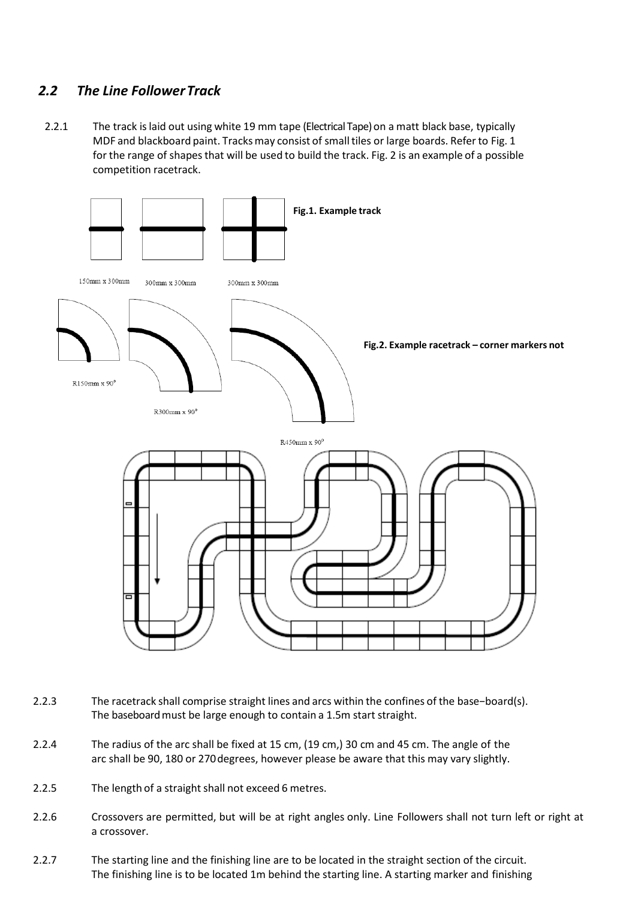#### *2.2 The Line FollowerTrack*

2.2.1 The track is laid out using white 19 mm tape (Electrical Tape) on a matt black base, typically MDF and blackboard paint. Tracks may consist of small tiles or large boards. Refer to Fig. 1 for the range of shapesthat will be used to build the track. Fig. 2 is an example of a possible competition racetrack.



- 2.2.3 The racetrack shall comprise straight lines and arcs within the confines of the base−board(s). The baseboard must be large enough to contain a 1.5m start straight.
- 2.2.4 The radius of the arc shall be fixed at 15 cm, (19 cm,) 30 cm and 45 cm. The angle of the arc shall be 90, 180 or 270degrees, however please be aware that this may vary slightly.
- 2.2.5 The length of a straight shall not exceed 6 metres.
- 2.2.6 Crossovers are permitted, but will be at right angles only. Line Followers shall not turn left or right at a crossover.
- 2.2.7 The starting line and the finishing line are to be located in the straight section of the circuit. The finishing line is to be located 1m behind the starting line. A starting marker and finishing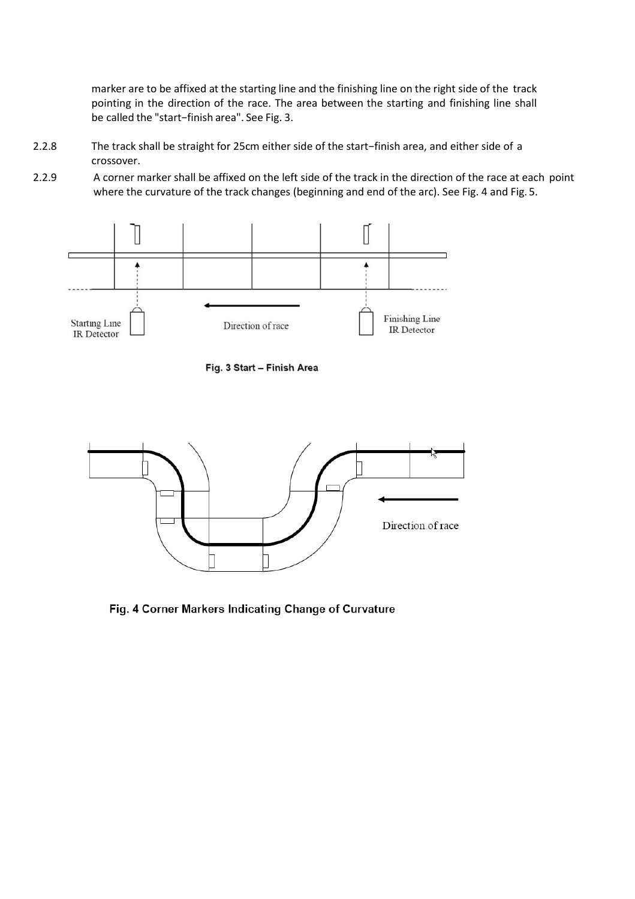marker are to be affixed at the starting line and the finishing line on the right side of the track pointing in the direction of the race. The area between the starting and finishing line shall be called the "start−finish area". See Fig. 3.

- 2.2.8 The track shall be straight for 25cm either side of the start−finish area, and either side of a crossover.
- 2.2.9 A corner marker shall be affixed on the left side of the track in the direction of the race at each point where the curvature of the track changes (beginning and end of the arc). See Fig. 4 and Fig. 5.



Fig. 3 Start - Finish Area



Fig. 4 Corner Markers Indicating Change of Curvature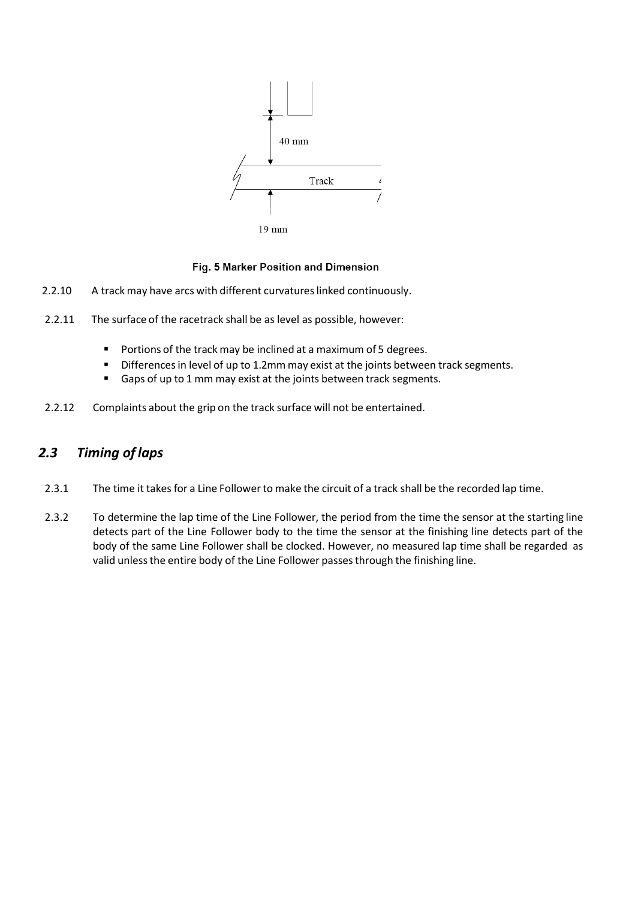

 $19 \text{ mm}$ 

#### Fig. 5 Marker Position and Dimension

- 2.2.10 A track may have arcs with different curvatures linked continuously.
- 2.2.11 The surface of the racetrack shall be as level as possible, however:
	- **Portions of the track may be inclined at a maximum of 5 degrees.**
	- **Differences in level of up to 1.2mm may exist at the joints between track segments.**
	- Gaps of up to 1 mm may exist at the joints between track segments.
- 2.2.12 Complaints about the grip on the track surface will not be entertained.

#### *2.3 Timing of laps*

- 2.3.1 The time it takes for a Line Follower to make the circuit of a track shall be the recorded lap time.
- 2.3.2 To determine the lap time of the Line Follower, the period from the time the sensor at the starting line detects part of the Line Follower body to the time the sensor at the finishing line detects part of the body of the same Line Follower shall be clocked. However, no measured lap time shall be regarded as valid unless the entire body of the Line Follower passes through the finishing line.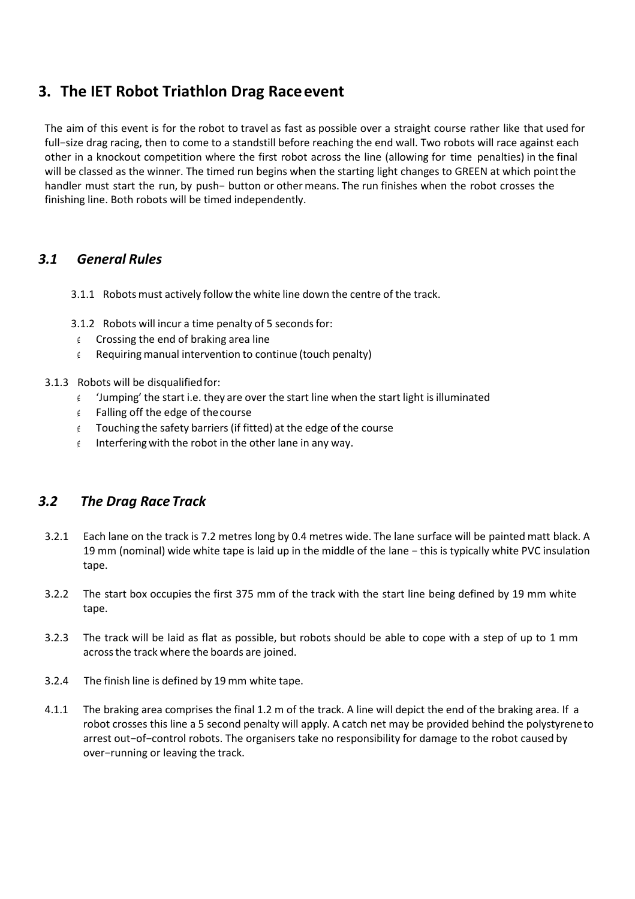## **3. The IET Robot Triathlon Drag Raceevent**

The aim of this event is for the robot to travel as fast as possible over a straight course rather like that used for full−size drag racing, then to come to a standstill before reaching the end wall. Two robots will race against each other in a knockout competition where the first robot across the line (allowing for time penalties) in the final will be classed as the winner. The timed run begins when the starting light changes to GREEN at which pointthe handler must start the run, by push− button or other means. The run finishes when the robot crosses the finishing line. Both robots will be timed independently.

#### *3.1 General Rules*

- 3.1.1 Robots must actively follow the white line down the centre of the track.
- 3.1.2 Robots will incur a time penalty of 5 secondsfor:
- $\epsilon$  Crossing the end of braking area line
- $\epsilon$  Requiring manual intervention to continue (touch penalty)

#### 3.1.3 Robots will be disqualifiedfor:

- $\epsilon$  'lumping' the start i.e. they are over the start line when the start light is illuminated
- $\epsilon$  Falling off the edge of the course
- Touching the safety barriers (if fitted) at the edge of the course
- $\epsilon$  Interfering with the robot in the other lane in any way.

#### *3.2 The Drag Race Track*

- 3.2.1 Each lane on the track is 7.2 metres long by 0.4 metres wide. The lane surface will be painted matt black. A 19 mm (nominal) wide white tape is laid up in the middle of the lane − this is typically white PVC insulation tape.
- 3.2.2 The start box occupies the first 375 mm of the track with the start line being defined by 19 mm white tape.
- 3.2.3 The track will be laid as flat as possible, but robots should be able to cope with a step of up to 1 mm acrossthe track where the boards are joined.
- 3.2.4 The finish line is defined by 19 mm white tape.
- 4.1.1 The braking area comprises the final 1.2 m of the track. A line will depict the end of the braking area. If a robot crosses this line a 5 second penalty will apply. A catch net may be provided behind the polystyreneto arrest out−of−control robots. The organisers take no responsibility for damage to the robot caused by over−running or leaving the track.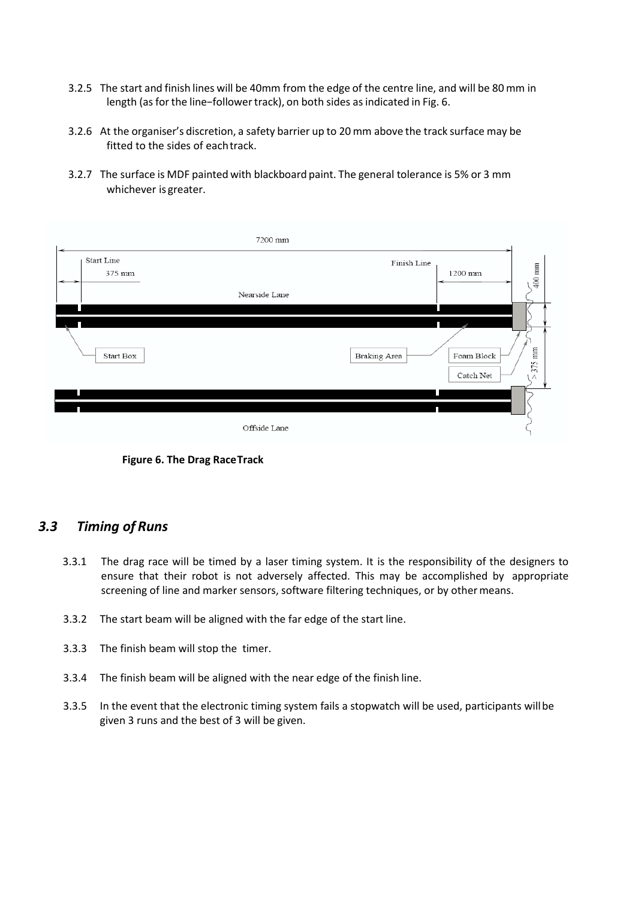- 3.2.5 The start and finish lines will be 40mm from the edge of the centre line, and will be 80 mm in length (as for the line-follower track), on both sides as indicated in Fig. 6.
- 3.2.6 At the organiser's discretion, a safety barrier up to 20 mm above the track surface may be fitted to the sides of eachtrack.
- 3.2.7 The surface is MDF painted with blackboard paint. The general tolerance is 5% or 3 mm whichever is greater.

|                      | 7200 mm                                  |                                                       |
|----------------------|------------------------------------------|-------------------------------------------------------|
| Start Line<br>375 mm | $\ensuremath{\text{Finish}}\xspace$ Line | 400 mm<br>1200 mm                                     |
|                      | Nearside Lane                            | Ш                                                     |
| Start Box            | Braking Area                             | mm<br>Foam Block<br>375<br>$\operatorname{Catch}$ Net |
|                      |                                          |                                                       |
|                      | Offside Lane                             |                                                       |

**Figure 6. The Drag RaceTrack**

#### *3.3 Timing of Runs*

- 3.3.1 The drag race will be timed by a laser timing system. It is the responsibility of the designers to ensure that their robot is not adversely affected. This may be accomplished by appropriate screening of line and marker sensors, software filtering techniques, or by othermeans.
- 3.3.2 The start beam will be aligned with the far edge of the start line.
- 3.3.3 The finish beam will stop the timer.
- 3.3.4 The finish beam will be aligned with the near edge of the finish line.
- 3.3.5 In the event that the electronic timing system fails a stopwatch will be used, participants willbe given 3 runs and the best of 3 will be given.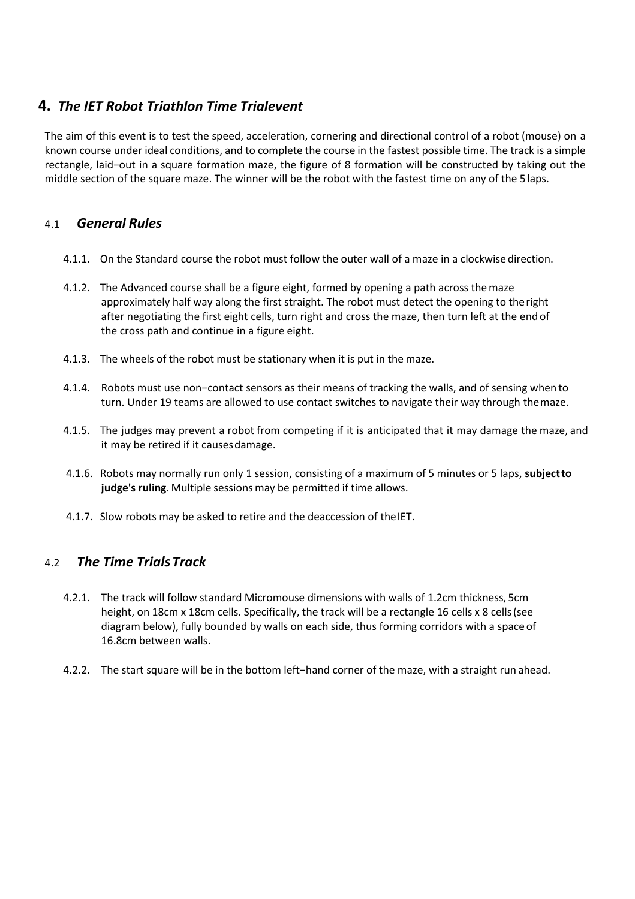### **4.** *The IET Robot Triathlon Time Trialevent*

The aim of this event is to test the speed, acceleration, cornering and directional control of a robot (mouse) on a known course under ideal conditions, and to complete the course in the fastest possible time. The track is a simple rectangle, laid−out in a square formation maze, the figure of 8 formation will be constructed by taking out the middle section of the square maze. The winner will be the robot with the fastest time on any of the 5laps.

#### 4.1 *General Rules*

- 4.1.1. On the Standard course the robot must follow the outer wall of a maze in a clockwise direction.
- 4.1.2. The Advanced course shall be a figure eight, formed by opening a path across themaze approximately half way along the first straight. The robot must detect the opening to theright after negotiating the first eight cells, turn right and cross the maze, then turn left at the end of the cross path and continue in a figure eight.
- 4.1.3. The wheels of the robot must be stationary when it is put in the maze.
- 4.1.4. Robots must use non−contact sensors as their means of tracking the walls, and of sensing when to turn. Under 19 teams are allowed to use contact switches to navigate their way through themaze.
- 4.1.5. The judges may prevent a robot from competing if it is anticipated that it may damage the maze, and it may be retired if it causesdamage.
- 4.1.6. Robots may normally run only 1 session, consisting of a maximum of 5 minutes or 5 laps, **subjectto judge's ruling**. Multiple sessionsmay be permitted if time allows.
- 4.1.7. Slow robots may be asked to retire and the deaccession of the IET.

#### 4.2 *The Time TrialsTrack*

- 4.2.1. The track will follow standard Micromouse dimensions with walls of 1.2cm thickness, 5cm height, on 18cm x 18cm cells. Specifically, the track will be a rectangle 16 cells x 8 cells (see diagram below), fully bounded by walls on each side, thus forming corridors with a space of 16.8cm between walls.
- 4.2.2. The start square will be in the bottom left−hand corner of the maze, with a straight run ahead.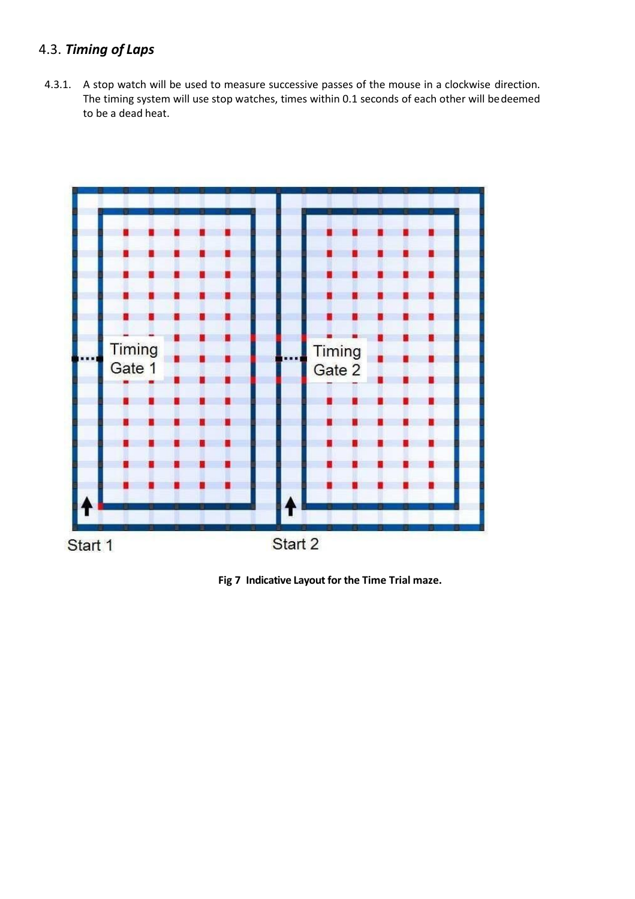## 4.3. *Timing of Laps*

4.3.1. A stop watch will be used to measure successive passes of the mouse in a clockwise direction. The timing system will use stop watches, times within 0.1 seconds of each other will bedeemed to be a dead heat.



**Fig 7 Indicative Layout for the Time Trial maze.**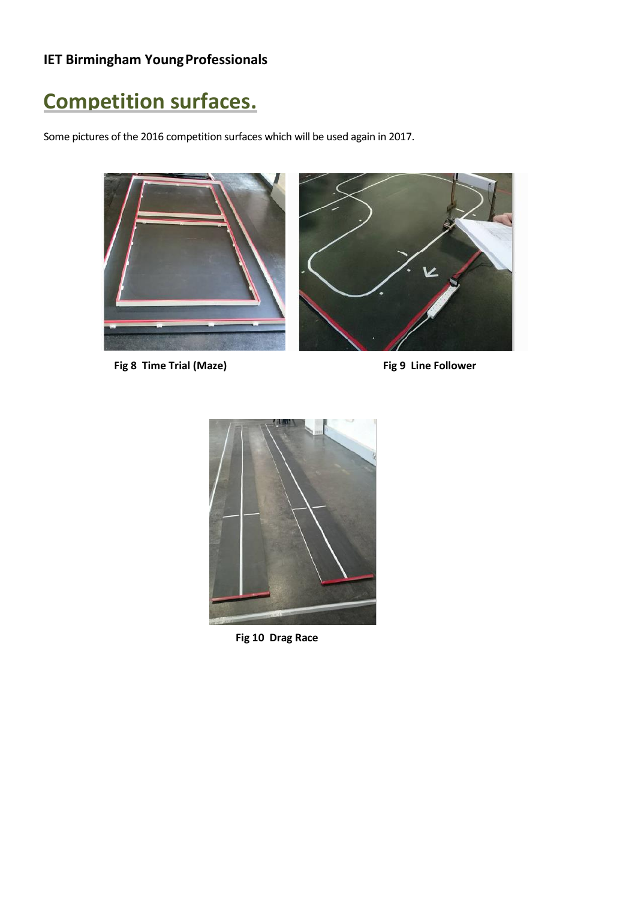# **Competition surfaces.**

Some pictures of the 2016 competition surfaces which will be used again in 2017.



Fig 8 Time Trial (Maze) **Fig 9 Line Follower** 



**Fig 10 Drag Race**